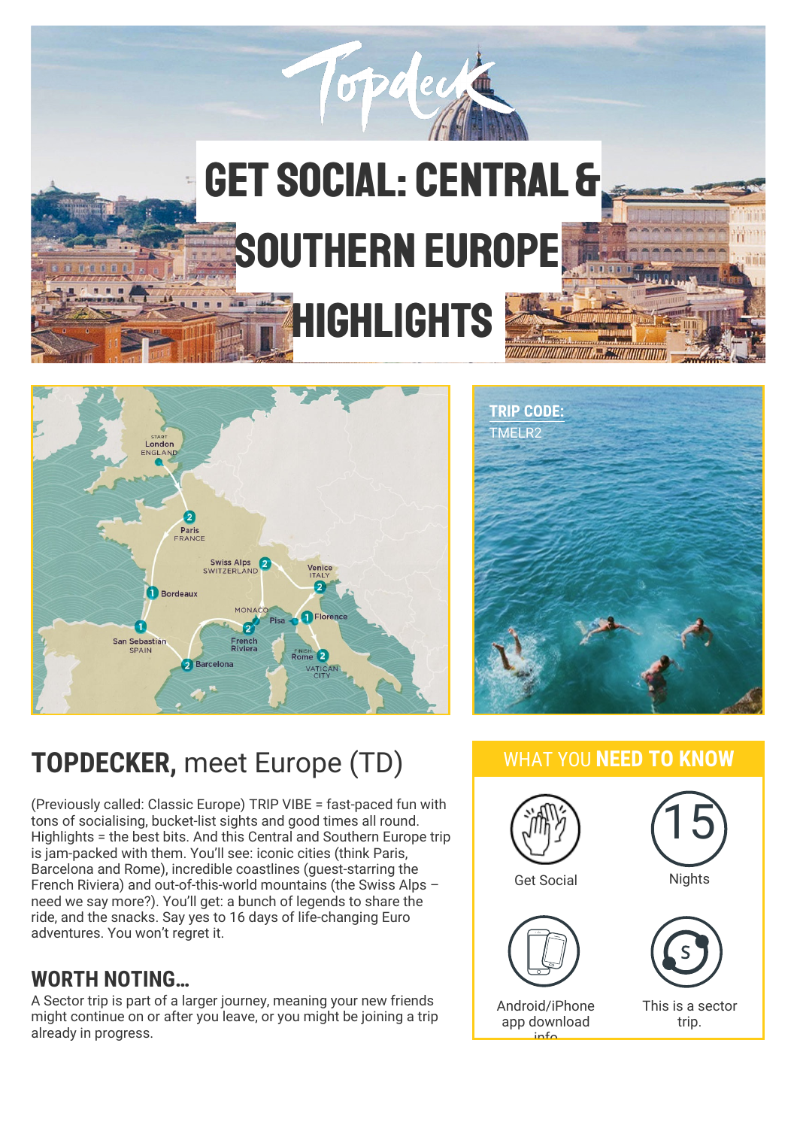





# **TOPDECKER,** meet Europe (TD)

(Previously called: Classic Europe) TRIP VIBE = fast-paced fun with tons of socialising, bucket-list sights and good times all round. Highlights = the best bits. And this Central and Southern Europe trip is jam-packed with them. You'll see: iconic cities (think Paris, Barcelona and Rome), incredible coastlines (guest-starring the French Riviera) and out-of-this-world mountains (the Swiss Alps – need we say more?). You'll get: a bunch of legends to share the ride, and the snacks. Say yes to 16 days of life-changing Euro adventures. You won't regret it.

### **WORTH NOTING…**

A Sector trip is part of a larger journey, meaning your new friends might continue on or after you leave, or you might be joining a trip already in progress.

### WHAT YOU **NEED TO KNOW**

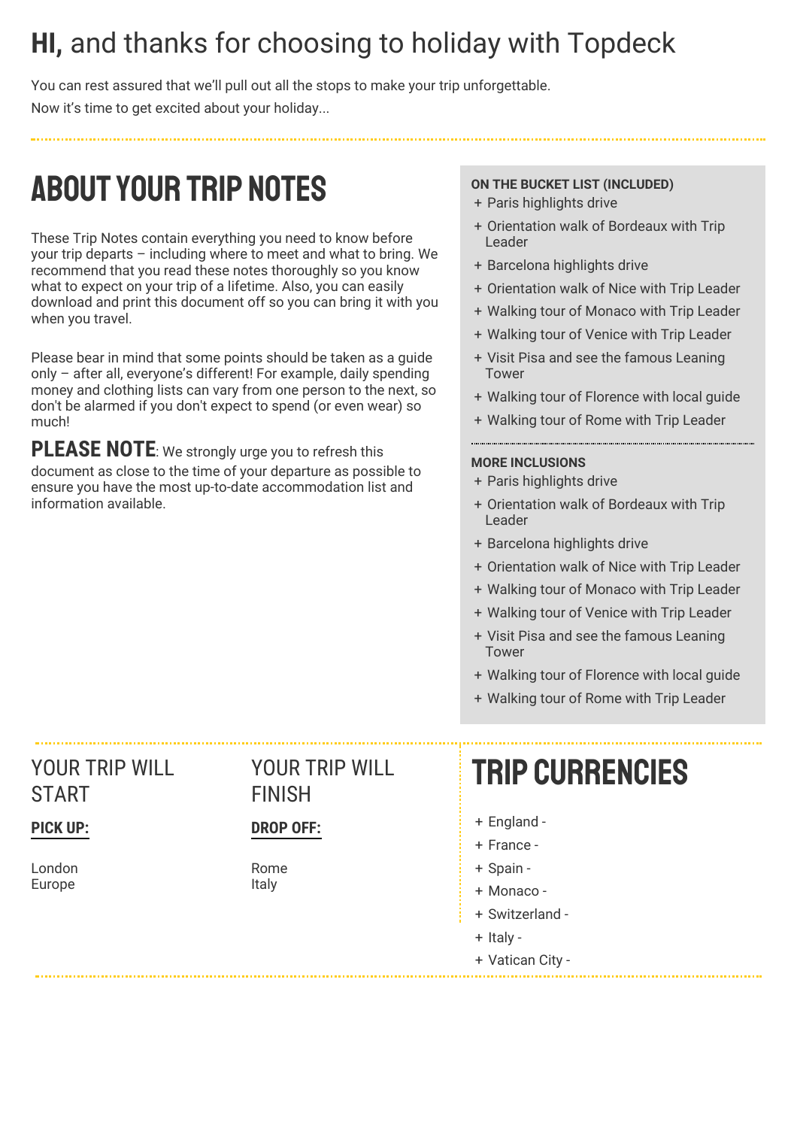## **HI,** and thanks for choosing to holiday with Topdeck

You can rest assured that we'll pull out all the stops to make your trip unforgettable. Now it's time to get excited about your holiday...

# ABOUTYOUR TRIP NOTES

These Trip Notes contain everything you need to know before your trip departs – including where to meet and what to bring. We recommend that you read these notes thoroughly so you know what to expect on your trip of a lifetime. Also, you can easily download and print this document off so you can bring it with you when you travel.

Please bear in mind that some points should be taken as a guide only – after all, everyone's different! For example, daily spending money and clothing lists can vary from one person to the next, so don't be alarmed if you don't expect to spend (or even wear) so much!

**PLEASE NOTE**: We strongly urge you to refresh this document as close to the time of your departure as possible to ensure you have the most up-to-date accommodation list and information available.

### **ON THE BUCKET LIST (INCLUDED)**

- + Paris highlights drive
- + Orientation walk of Bordeaux with Trip Leader
- + Barcelona highlights drive
- + Orientation walk of Nice with Trip Leader
- + Walking tour of Monaco with Trip Leader
- + Walking tour of Venice with Trip Leader
- + Visit Pisa and see the famous Leaning Tower
- + Walking tour of Florence with local guide
- + Walking tour of Rome with Trip Leader

#### **MORE INCLUSIONS**

- + Paris highlights drive
- + Orientation walk of Bordeaux with Trip Leader
- + Barcelona highlights drive
- + Orientation walk of Nice with Trip Leader
- + Walking tour of Monaco with Trip Leader
- + Walking tour of Venice with Trip Leader
- + Visit Pisa and see the famous Leaning Tower
- + Walking tour of Florence with local guide
- + Walking tour of Rome with Trip Leader

### YOUR TRIP WILL START

### **PICK UP:**

London Europe

### YOUR TRIP WILL FINISH

### **DROP OFF:**

Rome Italy

# Trip currencies

- + England -
- + France -
- + Spain -
- + Monaco -
- + Switzerland -
- + Italy -
- + Vatican City -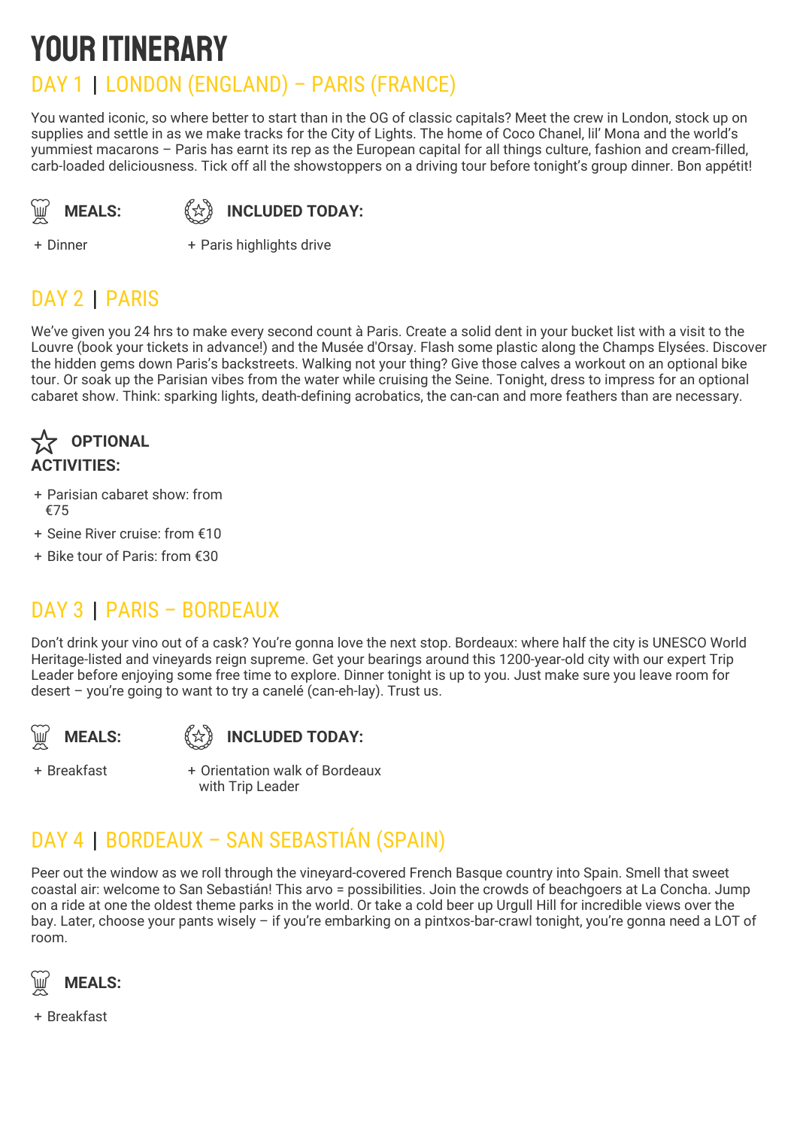# YOUR ITINERARY

### DAY 1 | LONDON (ENGLAND) – PARIS (FRANCE)

You wanted iconic, so where better to start than in the OG of classic capitals? Meet the crew in London, stock up on supplies and settle in as we make tracks for the City of Lights. The home of Coco Chanel, lil' Mona and the world's yummiest macarons – Paris has earnt its rep as the European capital for all things culture, fashion and cream-filled, carb-loaded deliciousness. Tick off all the showstoppers on a driving tour before tonight's group dinner. Bon appétit!

**MEALS:** 《☆》

**INCLUDED TODAY:**

+ Dinner +

+ Paris highlights drive

## DAY 2 | PARIS

We've given you 24 hrs to make every second count à Paris. Create a solid dent in your bucket list with a visit to the Louvre (book your tickets in advance!) and the Musée d'Orsay. Flash some plastic along the Champs Elysées. Discover the hidden gems down Paris's backstreets. Walking not your thing? Give those calves a workout on an optional bike tour. Or soak up the Parisian vibes from the water while cruising the Seine. Tonight, dress to impress for an optional cabaret show. Think: sparking lights, death-defining acrobatics, the can-can and more feathers than are necessary.



- + Parisian cabaret show: from €75
- + Seine River cruise: from €10
- + Bike tour of Paris: from €30

## DAY 3 | PARIS – BORDEAUX

Don't drink your vino out of a cask? You're gonna love the next stop. Bordeaux: where half the city is UNESCO World Heritage-listed and vineyards reign supreme. Get your bearings around this 1200-year-old city with our expert Trip Leader before enjoying some free time to explore. Dinner tonight is up to you. Just make sure you leave room for desert – you're going to want to try a canelé (can-eh-lay). Trust us.



### **INCLUDED TODAY:**

+ Breakfast +

Orientation walk of Bordeaux with Trip Leader

## DAY 4 | BORDEAUX – SAN SEBASTIÁN (SPAIN)

Peer out the window as we roll through the vineyard-covered French Basque country into Spain. Smell that sweet coastal air: welcome to San Sebastián! This arvo = possibilities. Join the crowds of beachgoers at La Concha. Jump on a ride at one the oldest theme parks in the world. Or take a cold beer up Urgull Hill for incredible views over the bay. Later, choose your pants wisely – if you're embarking on a pintxos-bar-crawl tonight, you're gonna need a LOT of room.



+ Breakfast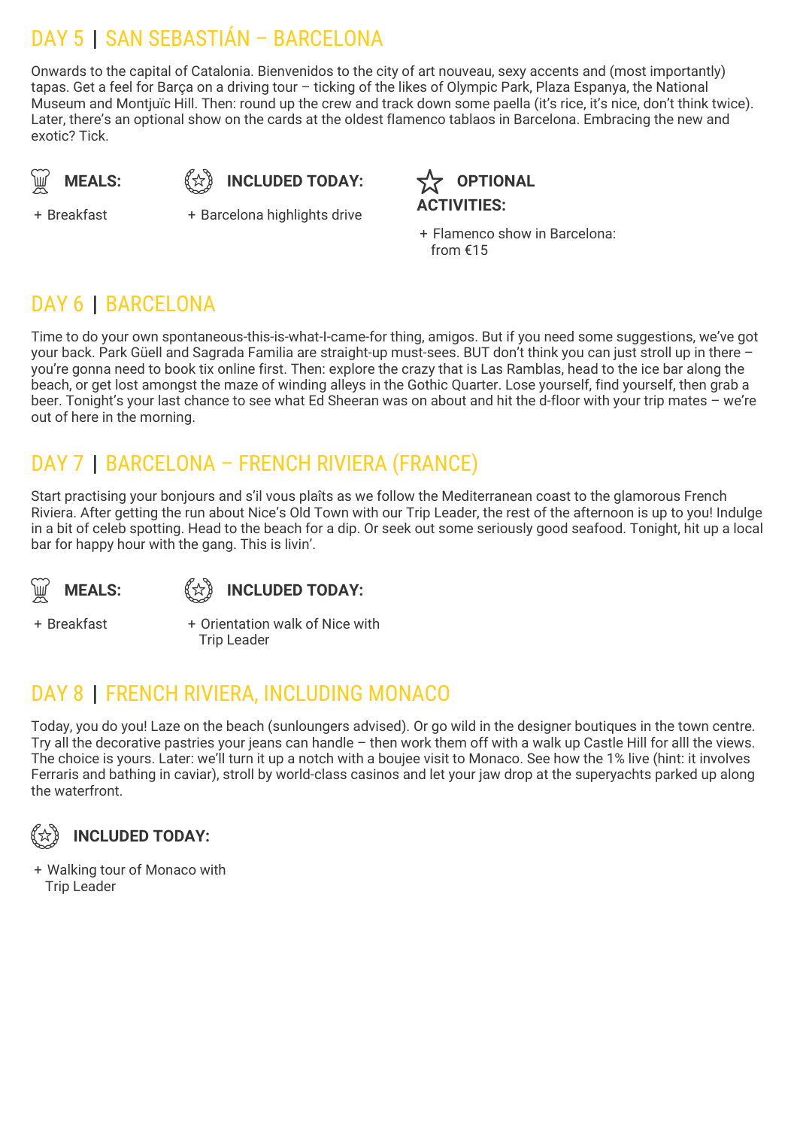## DAY 5 | SAN SEBASTIÁN – BARCELONA

Onwards to the capital of Catalonia. Bienvenidos to the city of art nouveau, sexy accents and (most importantly) tapas. Get a feel for Barça on a driving tour – ticking of the likes of Olympic Park, Plaza Espanya, the National Museum and Montjuïc Hill. Then: round up the crew and track down some paella (it's rice, it's nice, don't think twice). Later, there's an optional show on the cards at the oldest flamenco tablaos in Barcelona. Embracing the new and exotic? Tick.

$$
\bigcirc \hspace{-0.1cm} \bigcirc \hspace{-0.1cm} \bigcirc \hspace{-0.1cm} \mathsf{MEALS:}
$$

 $\widetilde{\mathbb{R}}$  **MEALS:**  $\begin{pmatrix} x \\ y \end{pmatrix}$  included today:  $\begin{pmatrix} x \\ y \end{pmatrix}$ 

+ Breakfast +

+ Barcelona highlights drive

**OPTIONAL ACTIVITIES:**

+ Flamenco show in Barcelona: from €15

### DAY 6 | BARCELONA

Time to do your own spontaneous-this-is-what-I-came-for thing, amigos. But if you need some suggestions, we've got your back. Park Güell and Sagrada Familia are straight-up must-sees. BUT don't think you can just stroll up in there – you're gonna need to book tix online first. Then: explore the crazy that is Las Ramblas, head to the ice bar along the beach, or get lost amongst the maze of winding alleys in the Gothic Quarter. Lose yourself, find yourself, then grab a beer. Tonight's your last chance to see what Ed Sheeran was on about and hit the d-floor with your trip mates – we're out of here in the morning.

## DAY 7 | BARCELONA – FRENCH RIVIERA (FRANCE)

Start practising your bonjours and s'il vous plaîts as we follow the Mediterranean coast to the glamorous French Riviera. After getting the run about Nice's Old Town with our Trip Leader, the rest of the afternoon is up to you! Indulge in a bit of celeb spotting. Head to the beach for a dip. Or seek out some seriously good seafood. Tonight, hit up a local bar for happy hour with the gang. This is livin'.

**MEALS:** 《☆》



+ Breakfast +

+ Orientation walk of Nice with Trip Leader

## DAY 8 | FRENCH RIVIERA, INCLUDING MONACO

Today, you do you! Laze on the beach (sunloungers advised). Or go wild in the designer boutiques in the town centre. Try all the decorative pastries your jeans can handle – then work them off with a walk up Castle Hill for alll the views. The choice is yours. Later: we'll turn it up a notch with a boujee visit to Monaco. See how the 1% live (hint: it involves Ferraris and bathing in caviar), stroll by world-class casinos and let your jaw drop at the superyachts parked up along the waterfront.



+ Walking tour of Monaco with Trip Leader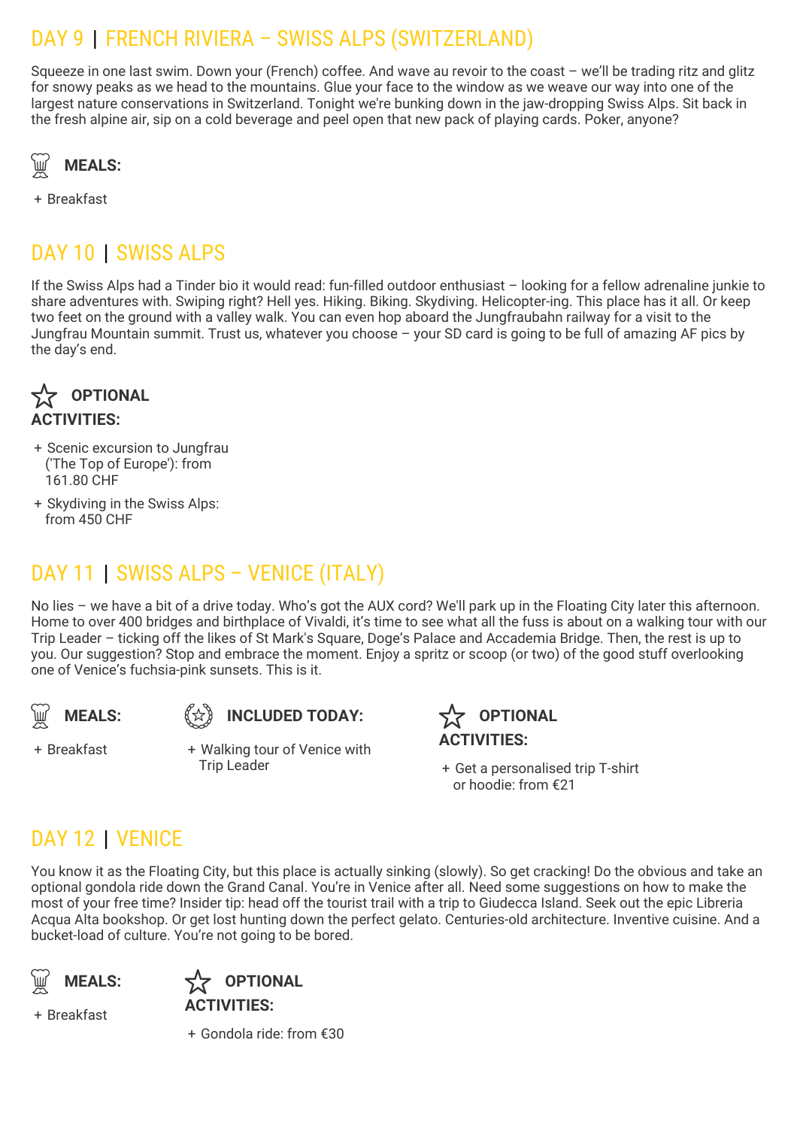### DAY 9 | FRENCH RIVIERA – SWISS ALPS (SWITZERLAND)

Squeeze in one last swim. Down your (French) coffee. And wave au revoir to the coast – we'll be trading ritz and glitz for snowy peaks as we head to the mountains. Glue your face to the window as we weave our way into one of the largest nature conservations in Switzerland. Tonight we're bunking down in the jaw-dropping Swiss Alps. Sit back in the fresh alpine air, sip on a cold beverage and peel open that new pack of playing cards. Poker, anyone?



+ Breakfast

## DAY 10 | SWISS ALPS

If the Swiss Alps had a Tinder bio it would read: fun-filled outdoor enthusiast – looking for a fellow adrenaline junkie to share adventures with. Swiping right? Hell yes. Hiking. Biking. Skydiving. Helicopter-ing. This place has it all. Or keep two feet on the ground with a valley walk. You can even hop aboard the Jungfraubahn railway for a visit to the Jungfrau Mountain summit. Trust us, whatever you choose – your SD card is going to be full of amazing AF pics by the day's end.

**OPTIONAL ACTIVITIES:**  $\boldsymbol{\mathrm{\hat{x}}}$ 

- + Scenic excursion to Jungfrau ('The Top of Europe'): from 161.80 CHF
- + Skydiving in the Swiss Alps: from 450 CHF

## DAY 11 | SWISS ALPS – VENICE (ITALY)

No lies – we have a bit of a drive today. Who's got the AUX cord? We'll park up in the Floating City later this afternoon. Home to over 400 bridges and birthplace of Vivaldi, it's time to see what all the fuss is about on a walking tour with our Trip Leader – ticking off the likes of St Mark's Square, Doge's Palace and Accademia Bridge. Then, the rest is up to you. Our suggestion? Stop and embrace the moment. Enjoy a spritz or scoop (or two) of the good stuff overlooking one of Venice's fuchsia-pink sunsets. This is it.





+ Breakfast +

Walking tour of Venice with Trip Leader +

**OPTIONAL ACTIVITIES:**

+ Get a personalised trip T-shirt or hoodie: from €21

### DAY 12 | VENICE

You know it as the Floating City, but this place is actually sinking (slowly). So get cracking! Do the obvious and take an optional gondola ride down the Grand Canal. You're in Venice after all. Need some suggestions on how to make the most of your free time? Insider tip: head off the tourist trail with a trip to Giudecca Island. Seek out the epic Libreria Acqua Alta bookshop. Or get lost hunting down the perfect gelato. Centuries-old architecture. Inventive cuisine. And a bucket-load of culture. You're not going to be bored.





+ Breakfast

+ Gondola ride: from €30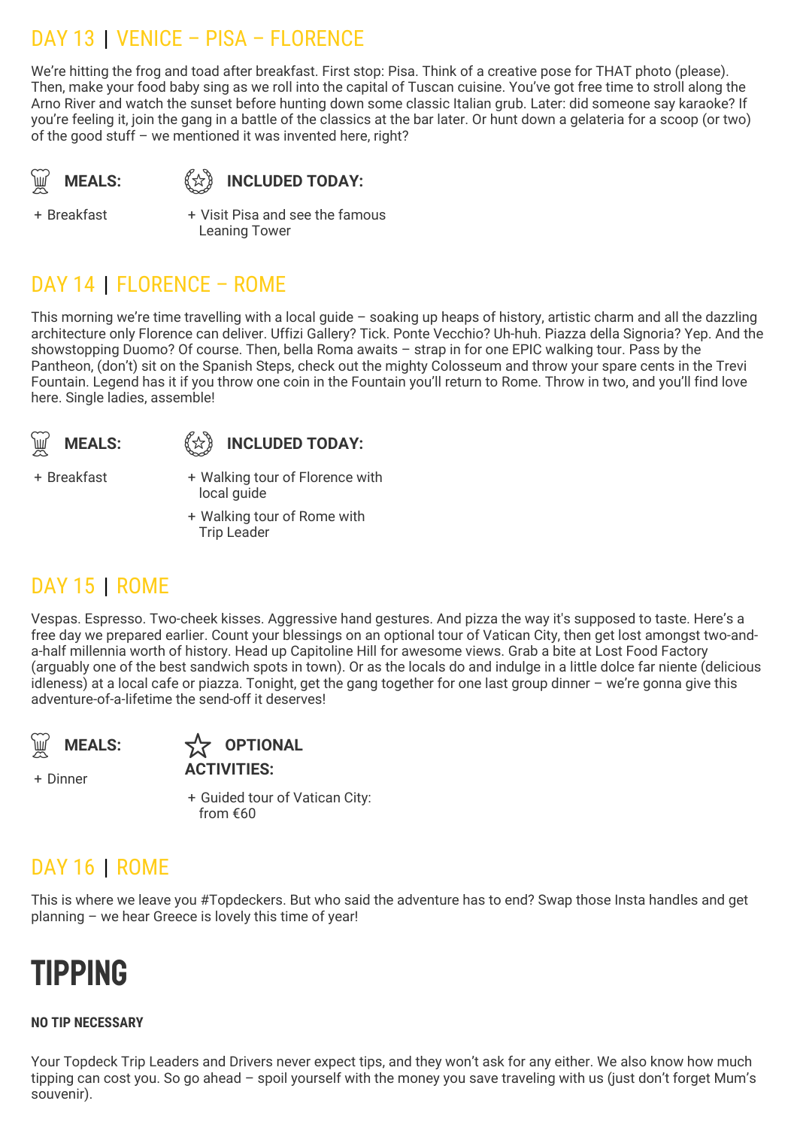### DAY 13 | VENICE – PISA – FLORENCE

We're hitting the frog and toad after breakfast. First stop: Pisa. Think of a creative pose for THAT photo (please). Then, make your food baby sing as we roll into the capital of Tuscan cuisine. You've got free time to stroll along the Arno River and watch the sunset before hunting down some classic Italian grub. Later: did someone say karaoke? If you're feeling it, join the gang in a battle of the classics at the bar later. Or hunt down a gelateria for a scoop (or two) of the good stuff – we mentioned it was invented here, right?

**MEALS:** 《☆》

**INCLUDED TODAY:** 

+ Breakfast +

Visit Pisa and see the famous Leaning Tower

## DAY 14 | FLORENCE – ROME

This morning we're time travelling with a local guide – soaking up heaps of history, artistic charm and all the dazzling architecture only Florence can deliver. Uffizi Gallery? Tick. Ponte Vecchio? Uh-huh. Piazza della Signoria? Yep. And the showstopping Duomo? Of course. Then, bella Roma awaits – strap in for one EPIC walking tour. Pass by the Pantheon, (don't) sit on the Spanish Steps, check out the mighty Colosseum and throw your spare cents in the Trevi Fountain. Legend has it if you throw one coin in the Fountain you'll return to Rome. Throw in two, and you'll find love here. Single ladies, assemble!

**MEALS:** 《☆》



+ Breakfast +

- Walking tour of Florence with local quide
- + Walking tour of Rome with Trip Leader

### DAY 15 | ROME

Vespas. Espresso. Two-cheek kisses. Aggressive hand gestures. And pizza the way it's supposed to taste. Here's a free day we prepared earlier. Count your blessings on an optional tour of Vatican City, then get lost amongst two-anda-half millennia worth of history. Head up Capitoline Hill for awesome views. Grab a bite at Lost Food Factory (arguably one of the best sandwich spots in town). Or as the locals do and indulge in a little dolce far niente (delicious idleness) at a local cafe or piazza. Tonight, get the gang together for one last group dinner – we're gonna give this adventure-of-a-lifetime the send-off it deserves!

**MEALS:** 

**OPTIONAL ACTIVITIES:**

+ Dinner

+ Guided tour of Vatican City: from €60

### DAY 16 | ROME

This is where we leave you #Topdeckers. But who said the adventure has to end? Swap those Insta handles and get planning – we hear Greece is lovely this time of year!

# **TIPPING**

### **NO TIP NECESSARY**

Your Topdeck Trip Leaders and Drivers never expect tips, and they won't ask for any either. We also know how much tipping can cost you. So go ahead – spoil yourself with the money you save traveling with us (just don't forget Mum's souvenir).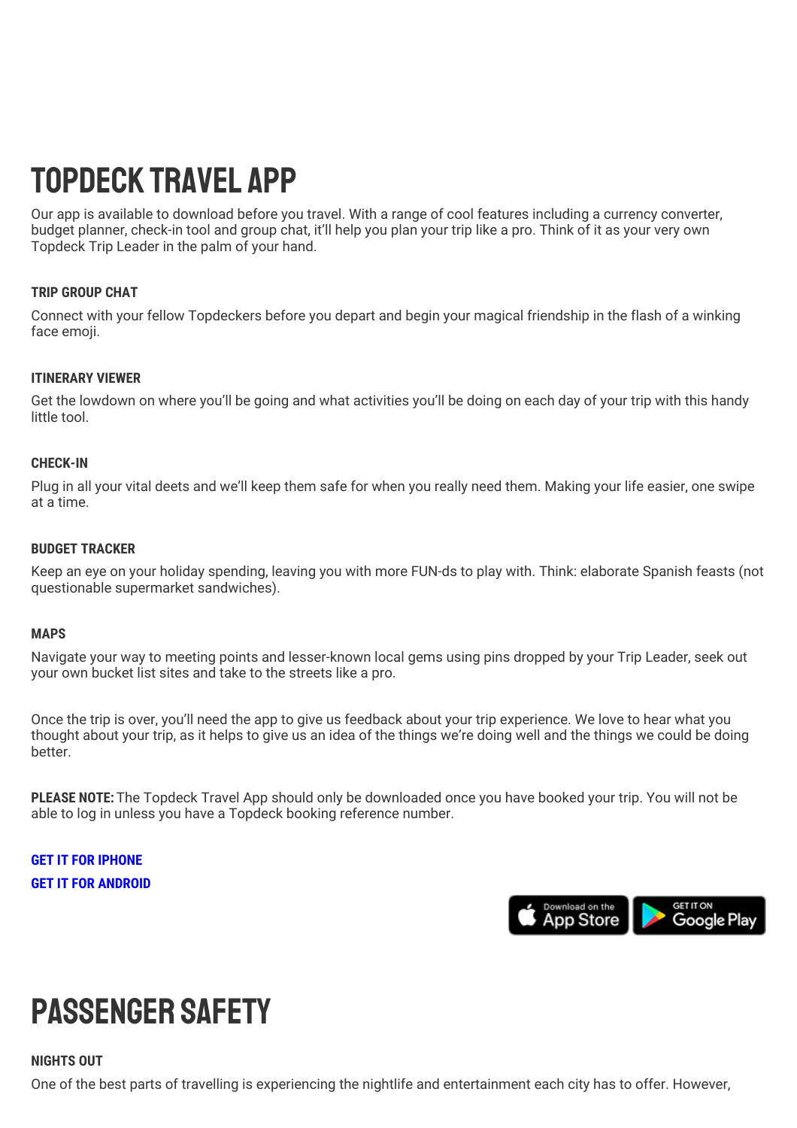# Topdeck Travel App

Our app is available to download before you travel. With a range of cool features including a currency converter, budget planner, check-in tool and group chat, it'll help you plan your trip like a pro. Think of it as your very own Topdeck Trip Leader in the palm of your hand.

#### **TRIP GROUP CHAT**

Connect with your fellow Topdeckers before you depart and begin your magical friendship in the flash of a winking face emoji.

#### **ITINERARY VIEWER**

Get the lowdown on where you'll be going and what activities you'll be doing on each day of your trip with this handy little tool.

#### **CHECK-IN**

Plug in all your vital deets and we'll keep them safe for when you really need them. Making your life easier, one swipe at a time.

#### **BUDGET TRACKER**

Keep an eye on your holiday spending, leaving you with more FUN-ds to play with. Think: elaborate Spanish feasts (not questionable supermarket sandwiches).

#### **MAPS**

Navigate your way to meeting points and lesser-known local gems using pins dropped by your Trip Leader, seek out your own bucket list sites and take to the streets like a pro.

Once the trip is over, you'll need the app to give us feedback about your trip experience. We love to hear what you thought about your trip, as it helps to give us an idea of the things we're doing well and the things we could be doing better.

**PLEASE NOTE:** The Topdeck Travel App should only be downloaded once you have booked your trip. You will not be able to log in unless you have a Topdeck booking reference number.

**GET IT FOR [IPHONE](https://itunes.apple.com/gb/app/topdeck/id994727866?mt=8) GET IT FOR [ANDROID](https://play.google.com/store/apps/details?id=com.FlexiTechSolutions.TopDeck&hl=en)**



# Passenger safety

#### **NIGHTS OUT**

One of the best parts of travelling is experiencing the nightlife and entertainment each city has to offer. However,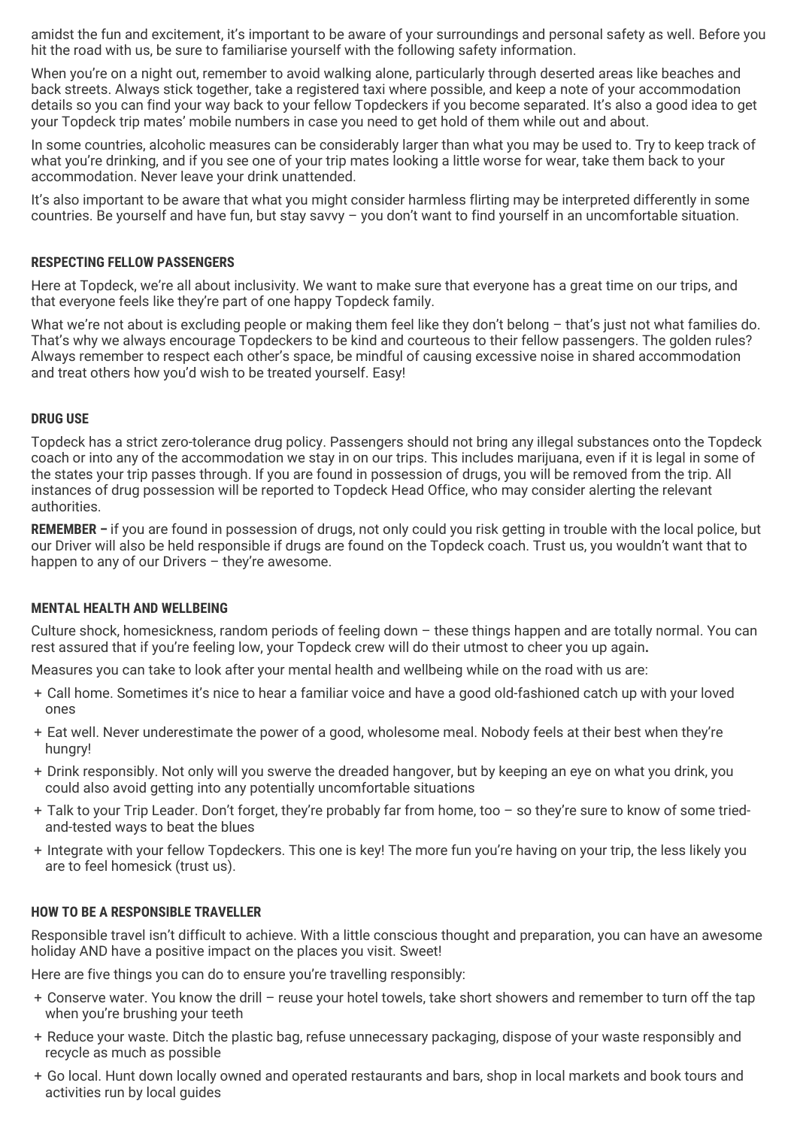amidst the fun and excitement, it's important to be aware of your surroundings and personal safety as well. Before you hit the road with us, be sure to familiarise yourself with the following safety information.

When you're on a night out, remember to avoid walking alone, particularly through deserted areas like beaches and back streets. Always stick together, take a registered taxi where possible, and keep a note of your accommodation details so you can find your way back to your fellow Topdeckers if you become separated. It's also a good idea to get your Topdeck trip mates' mobile numbers in case you need to get hold of them while out and about.

In some countries, alcoholic measures can be considerably larger than what you may be used to. Try to keep track of what you're drinking, and if you see one of your trip mates looking a little worse for wear, take them back to your accommodation. Never leave your drink unattended.

It's also important to be aware that what you might consider harmless flirting may be interpreted differently in some countries. Be yourself and have fun, but stay savvy – you don't want to find yourself in an uncomfortable situation.

#### **RESPECTING FELLOW PASSENGERS**

Here at Topdeck, we're all about inclusivity. We want to make sure that everyone has a great time on our trips, and that everyone feels like they're part of one happy Topdeck family.

What we're not about is excluding people or making them feel like they don't belong - that's just not what families do. That's why we always encourage Topdeckers to be kind and courteous to their fellow passengers. The golden rules? Always remember to respect each other's space, be mindful of causing excessive noise in shared accommodation and treat others how you'd wish to be treated yourself. Easy!

#### **DRUG USE**

Topdeck has a strict zero-tolerance drug policy. Passengers should not bring any illegal substances onto the Topdeck coach or into any of the accommodation we stay in on our trips. This includes marijuana, even if it is legal in some of the states your trip passes through. If you are found in possession of drugs, you will be removed from the trip. All instances of drug possession will be reported to Topdeck Head Office, who may consider alerting the relevant authorities.

**REMEMBER –** if you are found in possession of drugs, not only could you risk getting in trouble with the local police, but our Driver will also be held responsible if drugs are found on the Topdeck coach. Trust us, you wouldn't want that to happen to any of our Drivers - they're awesome.

#### **MENTAL HEALTH AND WELLBEING**

Culture shock, homesickness, random periods of feeling down – these things happen and are totally normal. You can rest assured that if you're feeling low, your Topdeck crew will do their utmost to cheer you up again**.**

Measures you can take to look after your mental health and wellbeing while on the road with us are:

- + Call home. Sometimes it's nice to hear a familiar voice and have a good old-fashioned catch up with your loved ones
- + Eat well. Never underestimate the power of a good, wholesome meal. Nobody feels at their best when they're hungry!
- + Drink responsibly. Not only will you swerve the dreaded hangover, but by keeping an eye on what you drink, you could also avoid getting into any potentially uncomfortable situations
- + Talk to your Trip Leader. Don't forget, they're probably far from home, too so they're sure to know of some triedand-tested ways to beat the blues
- + Integrate with your fellow Topdeckers. This one is key! The more fun you're having on your trip, the less likely you are to feel homesick (trust us).

#### **HOW TO BE A RESPONSIBLE TRAVELLER**

Responsible travel isn't difficult to achieve. With a little conscious thought and preparation, you can have an awesome holiday AND have a positive impact on the places you visit. Sweet!

Here are five things you can do to ensure you're travelling responsibly:

- + Conserve water. You know the drill reuse your hotel towels, take short showers and remember to turn off the tap when you're brushing your teeth
- + Reduce your waste. Ditch the plastic bag, refuse unnecessary packaging, dispose of your waste responsibly and recycle as much as possible
- + Go local. Hunt down locally owned and operated restaurants and bars, shop in local markets and book tours and activities run by local guides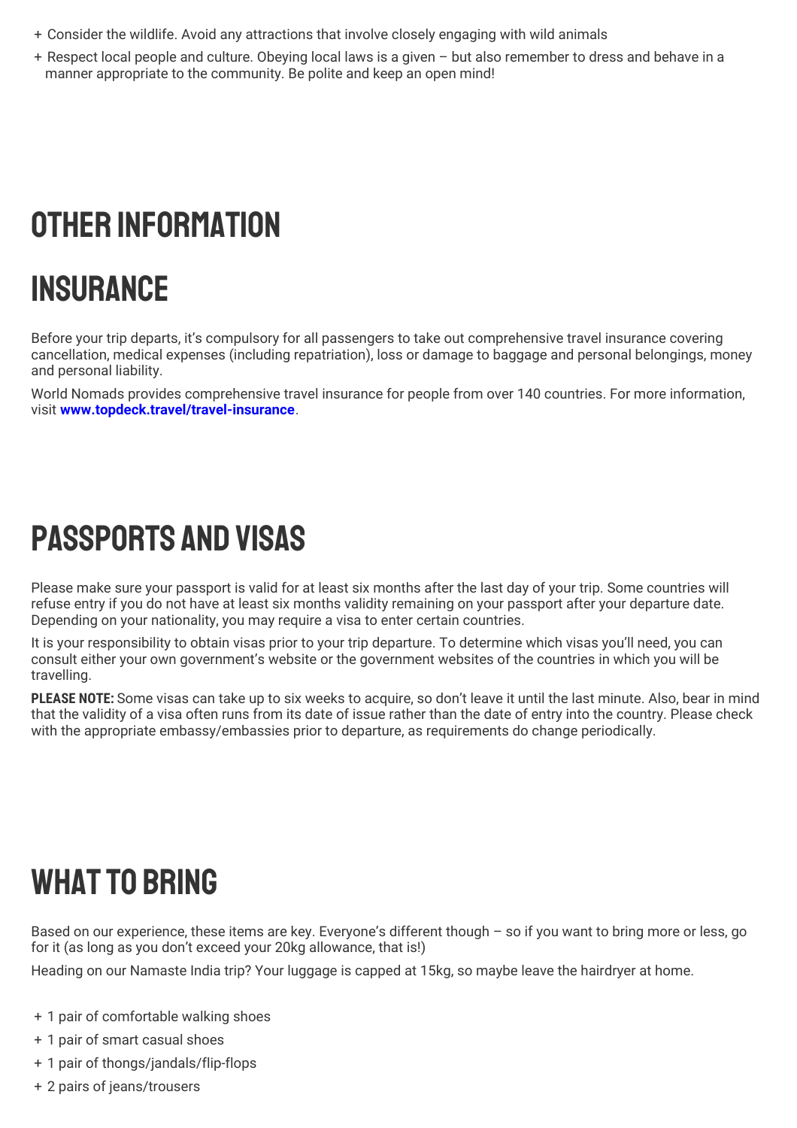- + Consider the wildlife. Avoid any attractions that involve closely engaging with wild animals
- + Respect local people and culture. Obeying local laws is a given but also remember to dress and behave in a manner appropriate to the community. Be polite and keep an open mind!

# OTHER INFORMATION

# Insurance

Before your trip departs, it's compulsory for all passengers to take out comprehensive travel insurance covering cancellation, medical expenses (including repatriation), loss or damage to baggage and personal belongings, money and personal liability.

World Nomads provides comprehensive travel insurance for people from over 140 countries. For more information, visit **[www.topdeck.travel/travel-insurance](http://www.topdeck.travel/travel-insurance)**.

# Passports and Visas

Please make sure your passport is valid for at least six months after the last day of your trip. Some countries will refuse entry if you do not have at least six months validity remaining on your passport after your departure date. Depending on your nationality, you may require a visa to enter certain countries.

It is your responsibility to obtain visas prior to your trip departure. To determine which visas you'll need, you can consult either your own government's website or the government websites of the countries in which you will be travelling.

**PLEASE NOTE:** Some visas can take up to six weeks to acquire, so don't leave it until the last minute. Also, bear in mind that the validity of a visa often runs from its date of issue rather than the date of entry into the country. Please check with the appropriate embassy/embassies prior to departure, as requirements do change periodically.

# **WHAT TO BRING**

Based on our experience, these items are key. Everyone's different though – so if you want to bring more or less, go for it (as long as you don't exceed your 20kg allowance, that is!)

Heading on our Namaste India trip? Your luggage is capped at 15kg, so maybe leave the hairdryer at home.

- + 1 pair of comfortable walking shoes
- + 1 pair of smart casual shoes
- + 1 pair of thongs/jandals/flip-flops
- + 2 pairs of jeans/trousers